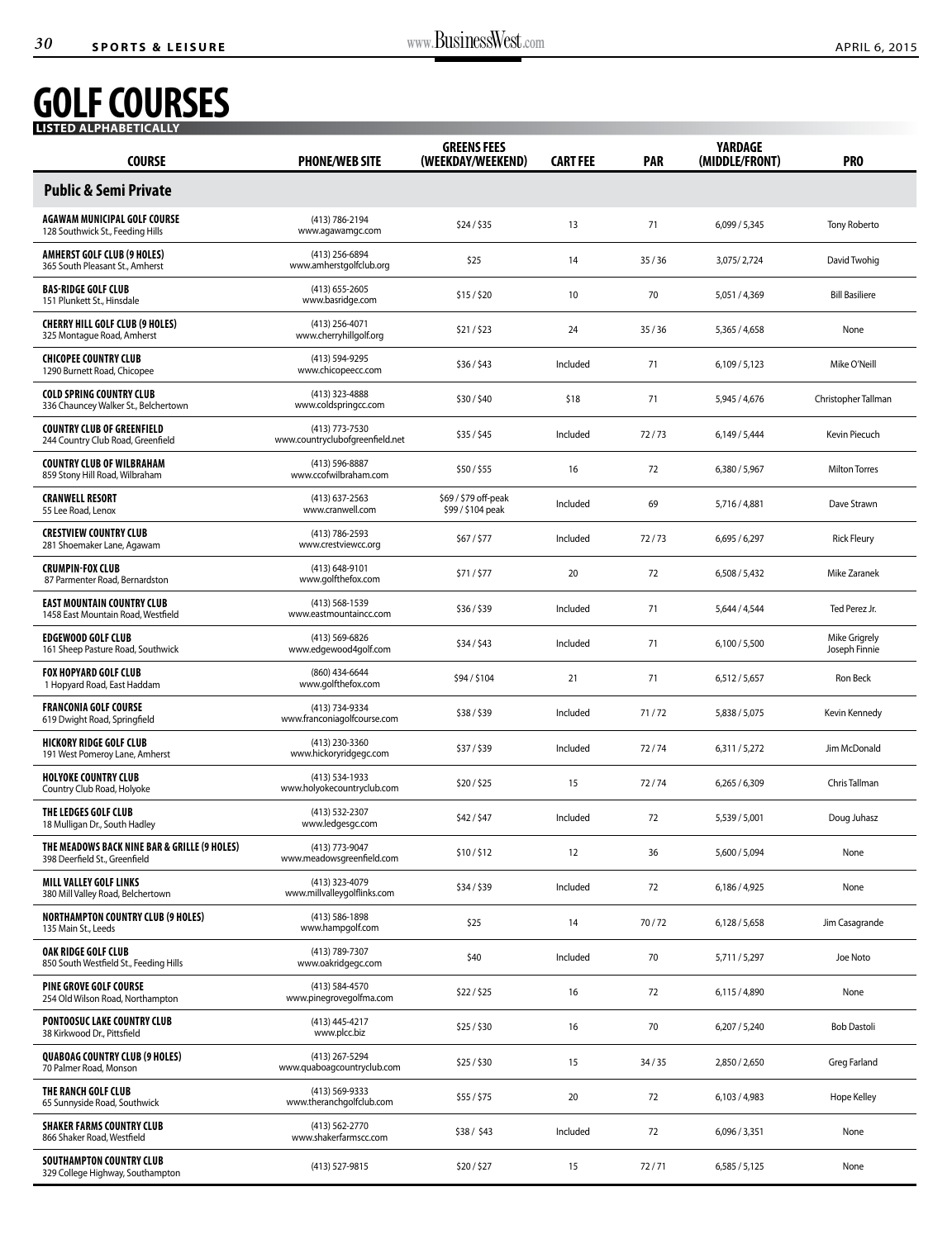## **GOLF COURSES LISTED ALPHABETICALLY**

| LISTED ALPHABETICALLY                                                         |                                                   |                                           |                 |            |                                  |                                |
|-------------------------------------------------------------------------------|---------------------------------------------------|-------------------------------------------|-----------------|------------|----------------------------------|--------------------------------|
| <b>COURSE</b>                                                                 | <b>PHONE/WEB SITE</b>                             | <b>GREENS FEES</b><br>(WEEKDAY/WEEKEND)   | <b>CART FEE</b> | <b>PAR</b> | <b>YARDAGE</b><br>(MIDDLE/FRONT) | PR <sub>0</sub>                |
| <b>Public &amp; Semi Private</b>                                              |                                                   |                                           |                 |            |                                  |                                |
| AGAWAM MUNICIPAL GOLF COURSE<br>128 Southwick St., Feeding Hills              | (413) 786-2194<br>www.agawamgc.com                | \$24/\$35                                 | 13              | 71         | 6,099/5,345                      | <b>Tony Roberto</b>            |
| <b>AMHERST GOLF CLUB (9 HOLES)</b><br>365 South Pleasant St., Amherst         | (413) 256-6894<br>www.amherstgolfclub.org         | \$25                                      | 14              | 35/36      | 3,075/2,724                      | David Twohig                   |
| <b>BAS-RIDGE GOLF CLUB</b><br>151 Plunkett St., Hinsdale                      | $(413)$ 655-2605<br>www.basridge.com              | \$15/\$20                                 | 10              | 70         | 5,051 / 4,369                    | <b>Bill Basiliere</b>          |
| <b>CHERRY HILL GOLF CLUB (9 HOLES)</b><br>325 Montague Road, Amherst          | $(413)$ 256-4071<br>www.cherryhillgolf.org        | \$21/523                                  | 24              | 35/36      | 5,365 / 4,658                    | None                           |
| <b>CHICOPEE COUNTRY CLUB</b><br>1290 Burnett Road, Chicopee                   | (413) 594-9295<br>www.chicopeecc.com              | \$36/\$43                                 | Included        | 71         | 6,109/5,123                      | Mike O'Neill                   |
| <b>COLD SPRING COUNTRY CLUB</b><br>336 Chauncey Walker St., Belchertown       | (413) 323-4888<br>www.coldspringcc.com            | \$30/\$40                                 | \$18            | 71         | 5,945 / 4,676                    | Christopher Tallman            |
| <b>COUNTRY CLUB OF GREENFIELD</b><br>244 Country Club Road, Greenfield        | (413) 773-7530<br>www.countryclubofgreenfield.net | \$35/\$45                                 | Included        | 72/73      | 6,149/5,444                      | Kevin Piecuch                  |
| <b>COUNTRY CLUB OF WILBRAHAM</b><br>859 Stony Hill Road, Wilbraham            | (413) 596-8887<br>www.ccofwilbraham.com           | \$50/\$55                                 | 16              | 72         | 6,380 / 5,967                    | <b>Milton Torres</b>           |
| <b>CRANWELL RESORT</b><br>55 Lee Road, Lenox                                  | $(413)$ 637-2563<br>www.cranwell.com              | \$69 / \$79 off-peak<br>\$99 / \$104 peak | Included        | 69         | 5,716 / 4,881                    | Dave Strawn                    |
| <b>CRESTVIEW COUNTRY CLUB</b><br>281 Shoemaker Lane, Agawam                   | (413) 786-2593<br>www.crestviewcc.org             | \$67 / \$77                               | Included        | 72/73      | 6,695/6,297                      | <b>Rick Fleury</b>             |
| <b>CRUMPIN-FOX CLUB</b><br>87 Parmenter Road, Bernardston                     | $(413) 648 - 9101$<br>www.golfthefox.com          | \$71/\$77                                 | 20              | 72         | 6,508/5,432                      | Mike Zaranek                   |
| <b>EAST MOUNTAIN COUNTRY CLUB</b><br>1458 East Mountain Road, Westfield       | $(413) 568 - 1539$<br>www.eastmountaincc.com      | \$36/\$39                                 | Included        | 71         | 5,644 / 4,544                    | Ted Perez Jr.                  |
| <b>EDGEWOOD GOLF CLUB</b><br>161 Sheep Pasture Road, Southwick                | (413) 569-6826<br>www.edgewood4golf.com           | \$34/\$43                                 | Included        | 71         | 6,100/5,500                      | Mike Grigrely<br>Joseph Finnie |
| <b>FOX HOPYARD GOLF CLUB</b><br>1 Hopyard Road, East Haddam                   | (860) 434-6644<br>www.golfthefox.com              | \$94/\$104                                | 21              | 71         | 6,512 / 5,657                    | Ron Beck                       |
| <b>FRANCONIA GOLF COURSE</b><br>619 Dwight Road, Springfield                  | (413) 734-9334<br>www.franconiagolfcourse.com     | \$38/\$39                                 | Included        | 71/72      | 5,838 / 5,075                    | Kevin Kennedy                  |
| <b>HICKORY RIDGE GOLF CLUB</b><br>191 West Pomeroy Lane, Amherst              | (413) 230-3360<br>www.hickoryridgegc.com          | \$37/\$39                                 | Included        | 72/74      | 6,311/5,272                      | Jim McDonald                   |
| <b>HOLYOKE COUNTRY CLUB</b><br>Country Club Road, Holyoke                     | (413) 534-1933<br>www.holyokecountryclub.com      | \$20/\$25                                 | 15              | 72/74      | 6.265 / 6.309                    | Chris Tallman                  |
| THE LEDGES GOLF CLUB<br>18 Mulligan Dr., South Hadley                         | (413) 532-2307<br>www.ledgesgc.com                | \$42/\$47                                 | Included        | 72         | 5,539 / 5,001                    | Doug Juhasz                    |
| THE MEADOWS BACK NINE BAR & GRILLE (9 HOLES)<br>398 Deerfield St., Greenfield | (413) 773-9047<br>www.meadowsgreenfield.com       | \$10/\$12                                 | 12              | 36         | 5,600 / 5,094                    | None                           |
| <b>MILL VALLEY GOLF LINKS</b><br>380 Mill Valley Road, Belchertown            | (413) 323-4079<br>www.millvalleygolflinks.com     | \$34/\$39                                 | Included        | 72         | 6,186 / 4,925                    | None                           |
| <b>NORTHAMPTON COUNTRY CLUB (9 HOLES)</b><br>135 Main St., Leeds              | (413) 586-1898<br>www.hampgolf.com                | \$25                                      | 14              | 70/72      | 6,128/5,658                      | Jim Casagrande                 |
| OAK RIDGE GOLF CLUB<br>850 South Westfield St., Feeding Hills                 | (413) 789-7307<br>www.oakridgegc.com              | \$40                                      | Included        | 70         | 5,711 / 5,297                    | Joe Noto                       |
| <b>PINE GROVE GOLF COURSE</b><br>254 Old Wilson Road, Northampton             | (413) 584-4570<br>www.pinegrovegolfma.com         | \$22/\$25                                 | 16              | 72         | 6,115 / 4,890                    | None                           |
| <b>PONTOOSUC LAKE COUNTRY CLUB</b><br>38 Kirkwood Dr., Pittsfield             | (413) 445-4217<br>www.plcc.biz                    | \$25/\$30                                 | 16              | 70         | 6,207/5,240                      | <b>Bob Dastoli</b>             |
| <b>QUABOAG COUNTRY CLUB (9 HOLES)</b><br>70 Palmer Road, Monson               | (413) 267-5294<br>www.quaboagcountryclub.com      | \$25/\$30                                 | 15              | 34/35      | 2,850 / 2,650                    | <b>Greg Farland</b>            |
| THE RANCH GOLF CLUB<br>65 Sunnyside Road, Southwick                           | (413) 569-9333<br>www.theranchgolfclub.com        | \$55 / \$75                               | 20              | 72         | 6,103/4,983                      | Hope Kelley                    |
| <b>SHAKER FARMS COUNTRY CLUB</b><br>866 Shaker Road, Westfield                | (413) 562-2770<br>www.shakerfarmscc.com           | \$38/\$43                                 | Included        | 72         | 6,096/3,351                      | None                           |
| SOUTHAMPTON COUNTRY CLUB<br>329 College Highway, Southampton                  | (413) 527-9815                                    | \$20/\$27                                 | 15              | 72/71      | 6,585/5,125                      | None                           |